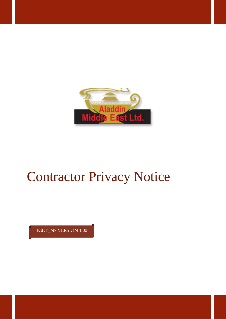

# Contractor Privacy Notice

IGDP\_N7 VERSION 1.00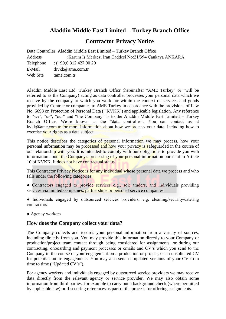## **Aladdin Middle East Limited – Turkey Branch Office**

## **Contractor Privacy Notice**

Data Controller: Aladdin Middle East Limited – Turkey Branch Office Address :Karum İş Merkezi İran Caddesi No:21/394 Çankaya ANKARA Telephone : (+90)0 312 427 90 20 E-Mail :kvkk@ame.com.tr Web Site :ame.com.tr

Aladdin Middle East Ltd. Turkey Branch Officr (hereinafter "AME Turkey" or "will be referred to as the Company) acting as data controller processes your personal data which we receive by the company to which you work for within the context of services and goods provided by Contractor companies to AME Turkey in accordance with the provisions of Law No. 6698 on Protection of Personal Data ( "KVKK") and applicable legislation. Any reference to "we", "us", "our" and "the Company" is to the Aladdin Middle East Limited – Turkey Branch Office. We're known as the "data controller". You can contact us at kvkk@ame.com.tr for more information about how we process your data, including how to exercise your rights as a data subject.

This notice describes the categories of personal information we may process, how your personal information may be processed and how your privacy is safeguarded in the course of our relationship with you. It is intended to comply with our obligations to provide you with information about the Company's processing of your personal information pursuant to Article 10 of KVKK. It does not have contractual status.

This Contractor Privacy Notice is for any individual whose personal data we process and who falls under the following categories:

- Contractors engaged to provide services e.g., sole traders, and individuals providing services via limited companies, partnerships or personal service companies
- Individuals engaged by outsourced services providers. e.g. cleaning/security/catering contractors
- Agency workers

## **How does the Company collect your data?**

The Company collects and records your personal information from a variety of sources, including directly from you. You may provide this information directly to your Company or production/project team contact through being considered for assignments, or during our contracting, onboarding and payment processes or emails and CV's which you send to the Company in the course of your engagement on a production or project, or an unsolicited CV for potential future engagements. You may also send us updated versions of your CV from time to time ("Updated CV's").

For agency workers and individuals engaged by outsourced service providers we may receive data directly from the relevant agency or service provider. We may also obtain some information from third parties, for example to carry out a background check (where permitted by applicable law) or if securing references as part of the process for offering assignments.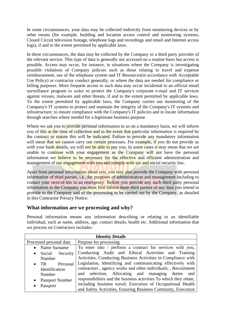In some circumstances, your data may be collected indirectly from monitoring devices or by other means (for example, building and location access control and monitoring systems, Closed Circuit television footage, telephone logs and recordings and email and Internet access logs), if and to the extent permitted by applicable laws.

In these circumstances, the data may be collected by the Company or a third party provider of the relevant service. This type of data is generally not accessed on a routine basis but access is possible. Access may occur, for instance, in situations where the Company is investigating possible violations of Company policies such as those relating to travel and expense reimbursement, use of the telephone system and IT Resources(in accordance with Acceptable Use Policy) or contractor conduct generally, or where the data are needed for compliance or billing purposes. More frequent access to such data may occur incidental to an official email surveillance program in order to protect the Company's corporate e-mail and IT services against viruses, malware and other threats, if and to the extent permitted by applicable laws. To the extent permitted by applicable laws, the Company carries out monitoring of the Company's IT systems to protect and maintain the integrity of the Company's IT systems and infrastructure; to ensure compliance with the Company's IT policies and to locate information through searches where needed for a legitimate business purpose.

Where we ask you to provide personal information to us on a mandatory basis, we will inform you of this at the time of collection and in the event that particular information is required by the contract or statute this will be indicated. Failure to provide any mandatory information will mean that we cannot carry out certain processes. For example, if you do not provide us with your bank details, we will not be able to pay you. In some cases it may mean that we are unable to continue with your engagement as the Company will not have the personal information we believe to be necessary for the effective and efficient administration and management of our engagement with you and comply with tax and social security law.

Apart from personal information about you, you may also provide the Company with personal information of third parties, i.e., for purposes of administration and management including to contact your next-of-kin in an emergency. Before you provide any such third party personal information to the Company you must first inform these third parties of any data you intend to provide to the Company and of the processing to be carried out by the Company, as detailed in this Contractor Privacy Notice.

## **What information are we processing and why?**

Personal information means any information describing or relating to an identifiable individual, such as name, address, age, contact details, health etc. Additional information that we process on Contractors includes:

| <b>Identity Details</b>             |                                                                    |  |
|-------------------------------------|--------------------------------------------------------------------|--|
| Processed personal data             | Purpose for processing                                             |  |
| Name Surname                        | To enter into / perform a contract for services with you,          |  |
| Social<br>Security<br>$\bullet$     | Conducting Audit and Ethical Activities and Training               |  |
| Number                              | Activities, Conducting Business Activities in Compliance with      |  |
| Personal<br>TR.<br>$\bullet$        | Legislation, Identifying and communicating effectively with        |  |
| Identification                      | contractors, agency works and other individuals; , Recruitment     |  |
| Number                              | and selection, Allocating and managing duties<br>and               |  |
| <b>Passport Number</b><br>$\bullet$ | responsibilities and the business activities To which they relate, |  |
| Passport                            | including business travel; Execution of Occupational Health        |  |
|                                     | and Safety Activities, Ensuring Business Continuity, Execution     |  |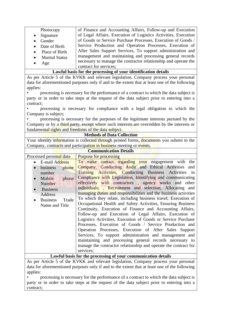| Photocopy                                                                            | of Finance and Accounting Affairs, Follow-up and Execution                                    |
|--------------------------------------------------------------------------------------|-----------------------------------------------------------------------------------------------|
| Signature                                                                            | of Legal Affairs, Execution of Logistics Activities, Execution                                |
| Gender<br>$\bullet$                                                                  | of Goods or Service Purchase Processes, Execution of Goods /                                  |
| Date of Birth<br>$\bullet$                                                           | Service Production and Operation Processes, Execution of                                      |
| Place of Birth<br>$\bullet$                                                          | After Sales Support Services, To support administration and                                   |
| <b>Marital Status</b>                                                                | management and maintaining and processing general records                                     |
| Age<br>$\bullet$                                                                     | necessary to manage the contractor relationship and operate the                               |
|                                                                                      | contract for services;                                                                        |
|                                                                                      | Lawful basis for the processing of your identification details                                |
| As per Article 5 of the KVKK and relevant legislation, Company process your personal |                                                                                               |
|                                                                                      | data for aforementioned purposes only if and to the extent that at least one of the following |
| applies:                                                                             |                                                                                               |
|                                                                                      | processing is necessary for the performance of a contract to which the data subject is        |
|                                                                                      | party or in order to take steps at the request of the data subject prior to entering into a   |
| contract;                                                                            |                                                                                               |
|                                                                                      | processing is necessary for compliance with a legal obligation to which the                   |
| Company is subject;                                                                  |                                                                                               |
|                                                                                      | processing is necessary for the purposes of the legitimate interests pursued by the           |
|                                                                                      | Company or by a third party, except where such interests are overridden by the interests or   |
| fundamental rights and freedoms of the data subject.                                 |                                                                                               |
|                                                                                      | <b>Methods of Data Collection</b>                                                             |
|                                                                                      | Your identity information is collected through printed forms, documents you submit to the     |
|                                                                                      | Company, contracts and participation in business meeting or events.                           |
|                                                                                      | <b>Communication Details</b>                                                                  |
| Processed personal data                                                              | <b>Purpose for processing</b>                                                                 |
| E-mail Address                                                                       | To make contact regarding your engagement with<br>the                                         |
| business<br>phone                                                                    | Company, Conducting Audit and Ethical Activities<br>and                                       |
| number                                                                               | Training Activities, Conducting Business Activities<br>in                                     |
| Mobile<br>phone<br>$\bullet$                                                         | Compliance with Legislation, Identifying and communicating                                    |
| <b>Number</b>                                                                        | effectively with contractors, agency works and other                                          |
| <b>Business</b>                                                                      | individuals; , Recruitment and selection, Allocating and                                      |
| Address                                                                              | managing duties and responsibilities and the business activities                              |
| <b>Business</b><br>Trade                                                             | To which they relate, including business travel; Execution of                                 |
| Name and Title                                                                       | Occupational Health and Safety Activities, Ensuring Business                                  |
|                                                                                      | Continuity, Execution of Finance and Accounting Affairs,                                      |
|                                                                                      | Follow-up and Execution of Legal Affairs, Execution of                                        |
|                                                                                      | Logistics Activities, Execution of Goods or Service Purchase                                  |
|                                                                                      | Processes, Execution of Goods / Service Production and                                        |
|                                                                                      | Operation Processes, Execution of After Sales Support                                         |
|                                                                                      | Services, To support administration and management and                                        |
|                                                                                      | maintaining and processing general records necessary to                                       |
|                                                                                      | manage the contractor relationship and operate the contract for                               |
|                                                                                      | services;                                                                                     |
|                                                                                      | Lawful basis for the processing of your communication details                                 |

As per Article 5 of the KVKK and relevant legislation, Company process your personal data for aforementioned purposes only if and to the extent that at least one of the following applies:

• processing is necessary for the performance of a contract to which the data subject is party or in order to take steps at the request of the data subject prior to entering into a contract;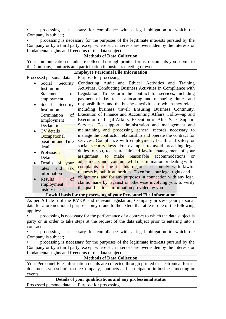• processing is necessary for compliance with a legal obligation to which the Company is subject;

• processing is necessary for the purposes of the legitimate interests pursued by the Company or by a third party, except where such interests are overridden by the interests or fundamental rights and freedoms of the data subject..

| <b>Methods of Data Collection</b>                                                       |                                                                                               |  |  |
|-----------------------------------------------------------------------------------------|-----------------------------------------------------------------------------------------------|--|--|
| Your communication details are collected through printed forms, documents you submit to |                                                                                               |  |  |
|                                                                                         | the Company, contracts and participation in business meeting or events                        |  |  |
| <b>Employee Personnel File Information</b>                                              |                                                                                               |  |  |
| Processed personal data                                                                 | Purpose for processing                                                                        |  |  |
| Social Security<br>$\bullet$                                                            | Conducting Audit and Ethical Activities and Training                                          |  |  |
| Institution-                                                                            | Activities, Conducting Business Activities in Compliance with                                 |  |  |
| <b>Statement</b><br>of                                                                  | Legislation, To perform the contract for services, including                                  |  |  |
| employment                                                                              | payment of day rates, allocating and managing duties and                                      |  |  |
| Social<br>Security                                                                      | responsibilities and the business activities to which they relate,                            |  |  |
| Institution                                                                             | including business travel; Ensuring Business Continuity,                                      |  |  |
| Termination<br>of                                                                       | Execution of Finance and Accounting Affairs, Follow-up and                                    |  |  |
| Employment                                                                              | Execution of Legal Affairs, Execution of After Sales Support                                  |  |  |
| Declaration                                                                             | Services, To support administration and management and                                        |  |  |
| <b>CV</b> details<br>$\bullet$                                                          | maintaining and processing general records necessary to                                       |  |  |
| Occupational                                                                            | manage the contractor relationship and operate the contract for                               |  |  |
| position and Title                                                                      | services; Compliance with employment, health and safety or                                    |  |  |
| details                                                                                 | social security laws. For example, to avoid breaching legal                                   |  |  |
| Profession                                                                              | duties to you, to ensure fair and lawful management of your                                   |  |  |
| Details                                                                                 | assignment, to make reasonable<br>accommodations<br><b>or</b>                                 |  |  |
| Details of<br>your                                                                      | adjustments and avoid unlawful discrimination or dealing with                                 |  |  |
| and<br>rates<br>tax                                                                     | complaints arising in this regard, To comply with lawful                                      |  |  |
| information                                                                             | requests by public authorities. To enforce our legal rights and                               |  |  |
| <b>Results</b><br><sub>of</sub>                                                         | obligations, and for any purposes in connection with any legal                                |  |  |
| employment                                                                              | claims made by, against or otherwise involving you; to verify                                 |  |  |
| history check                                                                           | the qualifications information provided by you                                                |  |  |
|                                                                                         | Lawful basis for the processing of your Personnel File Information                            |  |  |
|                                                                                         | As per Article 5 of the KVKK and relevant legislation, Company process your personal          |  |  |
|                                                                                         | data for aforementioned purposes only if and to the extent that at least one of the following |  |  |
| applies:                                                                                |                                                                                               |  |  |
|                                                                                         | processing is necessary for the performance of a contract to which the data subject is        |  |  |
|                                                                                         | party or in order to take steps at the request of the data subject prior to entering into a   |  |  |
| contract;                                                                               |                                                                                               |  |  |
|                                                                                         | processing is necessary for compliance with a legal obligation to which the                   |  |  |
| Company is subject;                                                                     |                                                                                               |  |  |
| processing is necessary for the purposes of the legitimate interests pursued by the     |                                                                                               |  |  |
|                                                                                         | Company or by a third party, except where such interests are overridden by the interests or   |  |  |
| fundamental rights and freedoms of the data subject.                                    |                                                                                               |  |  |

**Methods of Data Collection**

Your Personnel File Information details are collected through printed or electronical forms, documents you submit to the Company, contracts and participation in business meeting or events

**Details of your qualifications and any professional status** Processed personal data Purpose for processing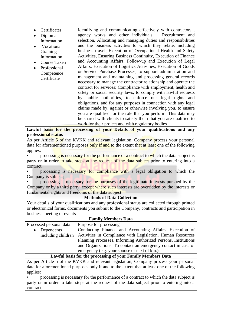| Certificates | Identifying and communicating effectively with contractors,                   |
|--------------|-------------------------------------------------------------------------------|
| Diploma      | agency works and other individuals; , Recruitment and                         |
| Information  | selection, Allocating and managing duties and responsibilities                |
| Vocational   | and the business activities to which they relate, including                   |
| Graining     | business travel; Execution of Occupational Health and Safety                  |
| Information  | Activities, Ensuring Business Continuity, Execution of Finance                |
| Course Taken | and Accounting Affairs, Follow-up and Execution of Legal                      |
| Professional | Affairs, Execution of Logistics Activities, Execution of Goods                |
| Competence   | or Service Purchase Processes, to support administration and                  |
| Certificate  | management and maintaining and processing general records                     |
|              | necessary to manage the contractor relationship and operate the               |
|              | contract for services; Compliance with employment, health and                 |
|              | safety or social security laws, to comply with lawful requests                |
|              | by public authorities, to enforce our legal rights and                        |
|              | obligations, and for any purposes in connection with any legal                |
|              | claims made by, against or otherwise involving you, to ensure                 |
|              | you are qualified for the role that you perform. This data may                |
|              | be shared with clients to satisfy them that you are qualified to              |
|              | work for their project and with regulatory bodies                             |
|              | owful bogic for the processing of vour Details of vour qualifications and ony |

**Lawful basis for the processing of your Details of your qualifications and any professional status**

As per Article 5 of the KVKK and relevant legislation, Company process your personal data for aforementioned purposes only if and to the extent that at least one of the following applies:

processing is necessary for the performance of a contract to which the data subject is party or in order to take steps at the request of the data subject prior to entering into a contract;

processing is necessary for compliance with a legal obligation to which the Company is subject;

• processing is necessary for the purposes of the legitimate interests pursued by the Company or by a third party, except where such interests are overridden by the interests or fundamental rights and freedoms of the data subject.

#### **Methods of Data Collection**

Your details of your qualifications and any professional status are collected through printed or electronical forms, documents you submit to the Company, contracts and participation in business meeting or events

| <b>Family Members Data</b> |                                                                |  |
|----------------------------|----------------------------------------------------------------|--|
| Processed personal data    | Purpose for processing                                         |  |
| Dependents                 | Conducting Finance and Accounting Affairs, Execution of        |  |
| including children         | Activities in Compliance with Legislation, Human Resources     |  |
|                            | Planning Processes, Informing Authorized Persons, Institutions |  |
|                            | and Organizations. To contact an emergency contact in case of  |  |
|                            | emergency (e.g. your spouse or next of kin.)                   |  |
|                            |                                                                |  |

#### **Lawful basis for the processing of your Family Members Data**

As per Article 5 of the KVKK and relevant legislation, Company process your personal data for aforementioned purposes only if and to the extent that at least one of the following applies:

• processing is necessary for the performance of a contract to which the data subject is party or in order to take steps at the request of the data subject prior to entering into a contract;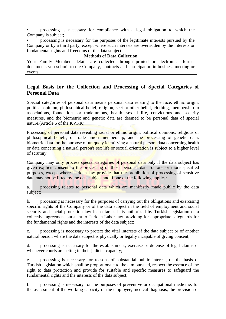• processing is necessary for compliance with a legal obligation to which the Company is subject;

• processing is necessary for the purposes of the legitimate interests pursued by the Company or by a third party, except where such interests are overridden by the interests or fundamental rights and freedoms of the data subject.

#### **Methods of Data Collection**

Your Family Members details are collected through printed or electronical forms, documents you submit to the Company, contracts and participation in business meeting or events

## **Legal Basis for the Collection and Processing of Special Categories of Personal Data**

Special categories of personal data means personal data relating to the race, ethnic origin, political opinion, philosophical belief, religion, sect or other belief, clothing, membership to associations, foundations or trade-unions, health, sexual life, convictions and security measures, and the biometric and genetic data are deemed to be personal data of special nature.(Article 6 of the KVKK)

Processing of personal data revealing racial or ethnic origin, political opinions, religious or philosophical beliefs, or trade union membership, and the processing of genetic data, biometric data for the purpose of uniquely identifying a natural person, data concerning health or data concerning a natural person's sex life or sexual orientation is subject to a higher level of scrutiny.

Company may only process special categories of personal data only if the data subject has given explicit consent to the processing of those personal data for one or more specified purposes, except where Turkish law provide that the prohibition of processing of sensitive data may not be lifted by the data subject and if one of the following applies:

a. processing relates to personal data which are manifestly made public by the data subject;

b. processing is necessary for the purposes of carrying out the obligations and exercising specific rights of the Company or of the data subject in the field of employment and social security and social protection law in so far as it is authorized by Turkish legislation or a collective agreement pursuant to Turkish Labor law providing for appropriate safeguards for the fundamental rights and the interests of the data subject;

c. processing is necessary to protect the vital interests of the data subject or of another natural person where the data subject is physically or legally incapable of giving consent;

d. processing is necessary for the establishment, exercise or defense of legal claims or whenever courts are acting in their judicial capacity;

e. processing is necessary for reasons of substantial public interest, on the basis of Turkish legislation which shall be proportionate to the aim pursued, respect the essence of the right to data protection and provide for suitable and specific measures to safeguard the fundamental rights and the interests of the data subject;

f. processing is necessary for the purposes of preventive or occupational medicine, for the assessment of the working capacity of the employee, medical diagnosis, the provision of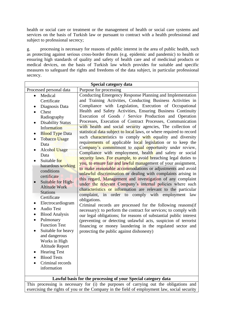health or social care or treatment or the management of health or social care systems and services on the basis of Turkish law or pursuant to contract with a health professional and subject to professional secrecy;

g. processing is necessary for reasons of public interest in the area of public health, such as protecting against serious cross-border threats (e.g. epidemic and pandemic) to health or ensuring high standards of quality and safety of health care and of medicinal products or medical devices, on the basis of Turkish law which provides for suitable and specific measures to safeguard the rights and freedoms of the data subject, in particular professional secrecy.

| Special category data                                                                                                                                                                                                                                                                                                                                                                                                                                                                                                                                                                                                                                                                                    |                                                                                                                                                                                                                                                                                                                                                                                                                                                                                                                                                                                                                                                                                                                                                                                                                                                                                                                                                                                                                                                                                                                                                                                                                                                                                                                                                                                                                                                                                                                                                                                                                                                                                        |  |
|----------------------------------------------------------------------------------------------------------------------------------------------------------------------------------------------------------------------------------------------------------------------------------------------------------------------------------------------------------------------------------------------------------------------------------------------------------------------------------------------------------------------------------------------------------------------------------------------------------------------------------------------------------------------------------------------------------|----------------------------------------------------------------------------------------------------------------------------------------------------------------------------------------------------------------------------------------------------------------------------------------------------------------------------------------------------------------------------------------------------------------------------------------------------------------------------------------------------------------------------------------------------------------------------------------------------------------------------------------------------------------------------------------------------------------------------------------------------------------------------------------------------------------------------------------------------------------------------------------------------------------------------------------------------------------------------------------------------------------------------------------------------------------------------------------------------------------------------------------------------------------------------------------------------------------------------------------------------------------------------------------------------------------------------------------------------------------------------------------------------------------------------------------------------------------------------------------------------------------------------------------------------------------------------------------------------------------------------------------------------------------------------------------|--|
| Processed personal data                                                                                                                                                                                                                                                                                                                                                                                                                                                                                                                                                                                                                                                                                  | Purpose for processing                                                                                                                                                                                                                                                                                                                                                                                                                                                                                                                                                                                                                                                                                                                                                                                                                                                                                                                                                                                                                                                                                                                                                                                                                                                                                                                                                                                                                                                                                                                                                                                                                                                                 |  |
| Medical<br>$\bullet$<br>Certificate<br>Diagnosis Data<br>Chest<br>Radiography<br><b>Disability Status</b><br>Information<br><b>Blood Type Data</b><br>Tobacco Usage<br>$\bullet$<br>Data<br><b>Alcohol Usage</b><br>Data<br>Suitable for<br>hazardous working<br>conditions<br>certificate<br>Suitable for High-<br><b>Altitude Work</b><br><b>Stations</b><br>Certificate<br>Electrocardiogram<br><b>Audio Test</b><br>$\bullet$<br><b>Blood Analysis</b><br>$\bullet$<br>Pulmonary<br>$\bullet$<br><b>Function Test</b><br>Suitable for heavy<br>$\bullet$<br>and dangerous<br>Works in High<br><b>Altitude Report</b><br><b>Hearing Test</b><br><b>Blood Tests</b><br>Criminal records<br>information | Conducting Emergency Response Planning and Implementation<br>and Training Activities, Conducting Business Activities in<br>Compliance with Legislation, Execution of Occupational<br>Health and Safety Activities, Ensuring Business Continuity<br>Execution of Goods / Service Production and Operation<br>Processes, Execution of Contract Processes, Communication<br>with health and social security agencies, The collection of<br>statistical data subject to local laws, or where required to record<br>such characteristics to comply with equality and diversity<br>requirements of applicable local legislation or to keep the<br>Company's commitment to equal opportunity under review,<br>Compliance with employment, health and safety or social<br>security laws. For example, to avoid breaching legal duties to<br>you, to ensure fair and lawful management of your assignment,<br>to make reasonable accommodations or adjustments and avoid<br>unlawful discrimination or dealing with complaints arising in<br>this regard, Management and investigation of any complaint<br>under the relevant Company's internal policies where such<br>characteristics or information are relevant to the particular<br>complaint, in order to comply with employment law<br>obligations.<br>Criminal records are processed for the following reasons (if<br>necessary): to perform the contract for services; to comply with<br>our legal obligations; for reasons of substantial public interest<br>(preventing or detecting unlawful acts, suspicion of terrorist<br>financing or money laundering in the regulated sector and<br>protecting the public against dishonesty) |  |
| Lawful basis for the processing of your Special category data                                                                                                                                                                                                                                                                                                                                                                                                                                                                                                                                                                                                                                            |                                                                                                                                                                                                                                                                                                                                                                                                                                                                                                                                                                                                                                                                                                                                                                                                                                                                                                                                                                                                                                                                                                                                                                                                                                                                                                                                                                                                                                                                                                                                                                                                                                                                                        |  |

This processing is necessary for (i) the purposes of carrying out the obligations and exercising the rights of you or the Company in the field of employment law, social security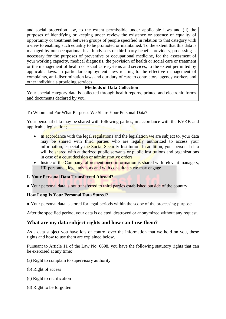and social protection law, to the extent permissible under applicable laws and (ii) the purposes of identifying or keeping under review the existence or absence of equality of opportunity or treatment between groups of people specified in relation to that category with a view to enabling such equality to be promoted or maintained. To the extent that this data is managed by our occupational health advisers or third-party benefit providers, processing is necessary for the purposes of preventive or occupational medicine, for the assessment of your working capacity, medical diagnosis, the provision of health or social care or treatment or the management of health or social care systems and services, to the extent permitted by applicable laws. In particular employment laws relating to the effective management of complaints, anti-discrimination laws and our duty of care to contractors, agency workers and other individuals providing services

## **Methods of Data Collection**

Your special category data is collected through health reports, printed and electronic forms and documents declared by you.

To Whom and For What Purposes We Share Your Personal Data?

Your personal data may be shared with following parties, in accordance with the KVKK and applicable legislation;

- In accordance with the legal regulations and the legislation we are subject to, your data may be shared with third parties who are legally authorized to access your information, especially the Social Security Institution. In addition, your personal data will be shared with authorized public servants or public institutions and organizations in case of a court decision or administrative orders.
- Inside of the Company, aforementioned information is shared with relevant managers, HR personnel, legal advisors and with consultants we may engage

## **Is Your Personal Data Transferred Abroad?**

● Your personal data is not transferred to third parties established outside of the country.

#### **How Long Is Your Personal Data Stored?**

● Your personal data is stored for legal periods within the scope of the processing purpose.

After the specified period, your data is deleted, destroyed or anonymized without any request.

## **What are my data subject rights and how can I use them?**

As a data subject you have lots of control over the information that we hold on you, these rights and how to use them are explained below.

Pursuant to Article 11 of the Law No. 6698, you have the following statutory rights that can be exercised at any time:

- (a) Right to complain to supervisory authority
- (b) Right of access
- (c) Right to rectification
- (d) Right to be forgotten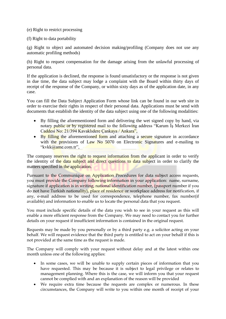## (e) Right to restrict processing

## (f) Right to data portability

(g) Right to object and automated decision making/profiling (Company does not use any automatic profiling methods)

(h) Right to request compensation for the damage arising from the unlawful processing of personal data.

If the application is declined, the response is found unsatisfactory or the response is not given in due time, the data subject may lodge a complaint with the Board within thirty days of receipt of the response of the Company, or within sixty days as of the application date, in any case.

You can fill the Data Subject Application Form whose link can be found in our web site in order to exercise their rights in respect of their personal data. Applications must be send with documents that establish the identity of the data subject using one of the following modalities:

- By filling the aforementioned form and delivering the wet signed copy by hand, via notary public or by registered mail to the following address "Karum Is Merkezi İran Caddesi No: 21/394 Kavaklıdere Çankaya / Ankara",
- By filling the aforementioned form and attaching a secure signature in accordance with the provisions of Law No 5070 on Electronic Signatures and e-mailing to "kvkk@ame.com.tr",

The company reserves the right to request information from the applicant in order to verify the identity of the data subject and direct questions to data subject in order to clarify the matters specified in the application.

Pursuant to the Communiqué on Application Procedures for data subject access requests, you must provide the Company following information in your application: name, surname, signature if application is in writing, national identification number, (passport number if you do not have Turkish nationality), place of residence or workplace address for notification, if any, e-mail address to be used for correspondence, telephone number, fax number(if available) and information to enable us to locate the personal data that you request.

You must include specific details of the data you wish to see in your request as this will enable a more efficient response from the Company. We may need to contact you for further details on your request if insufficient information is contained in the original request.

Requests may be made by you personally or by a third party e.g. a solicitor acting on your behalf. We will request evidence that the third party is entitled to act on your behalf if this is not provided at the same time as the request is made.

The Company will comply with your request without delay and at the latest within one month unless one of the following applies:

- In some cases, we will be unable to supply certain pieces of information that you have requested. This may be because it is subject to legal privilege or relates to management planning. Where this is the case, we will inform you that your request cannot be complied with and an explanation of the reason will be provided
- We require extra time because the requests are complex or numerous. In these circumstances, the Company will write to you within one month of receipt of your